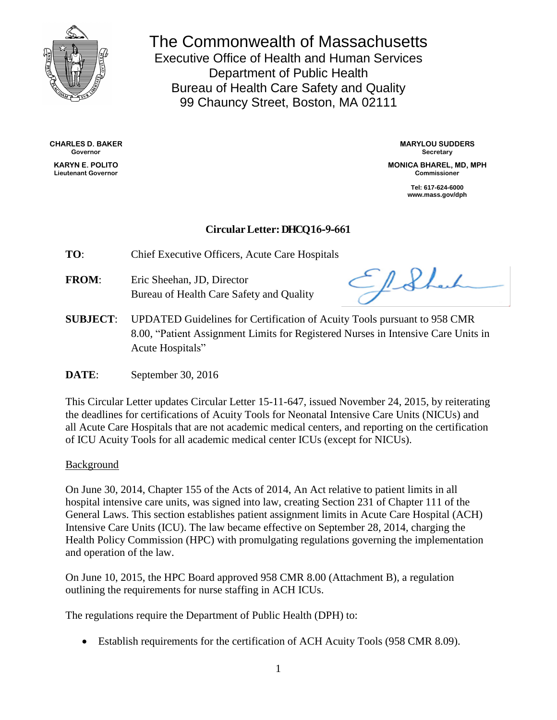

The Commonwealth of Massachusetts Executive Office of Health and Human Services Department of Public Health Bureau of Health Care Safety and Quality 99 Chauncy Street, Boston, MA 02111

**CHARLES D. BAKER Governor**

**KARYN E. POLITO Lieutenant Governor**

**MARYLOU SUDDERS Secretary**

**MONICA BHAREL, MD, MPH Commissioner**

> **Tel: 617-624-6000 www.mass.gov/dph**

## **CircularLetter: DHCQ 16-9-661**

**TO**: Chief Executive Officers, Acute Care Hospitals

**FROM**: Eric Sheehan, JD, Director Bureau of Health Care Safety and Quality

ElSher

**SUBJECT**: UPDATED Guidelines for Certification of Acuity Tools pursuant to 958 CMR 8.00, "Patient Assignment Limits for Registered Nurses in Intensive Care Units in Acute Hospitals"

**DATE:** September 30, 2016

This Circular Letter updates Circular Letter 15-11-647, issued November 24, 2015, by reiterating the deadlines for certifications of Acuity Tools for Neonatal Intensive Care Units (NICUs) and all Acute Care Hospitals that are not academic medical centers, and reporting on the certification of ICU Acuity Tools for all academic medical center ICUs (except for NICUs).

### Background

On June 30, 2014, Chapter 155 of the Acts of 2014, An Act relative to patient limits in all hospital intensive care units, was signed into law, creating Section 231 of Chapter 111 of the General Laws. This section establishes patient assignment limits in Acute Care Hospital (ACH) Intensive Care Units (ICU). The law became effective on September 28, 2014, charging the Health Policy Commission (HPC) with promulgating regulations governing the implementation and operation of the law.

On June 10, 2015, the HPC Board approved 958 CMR 8.00 (Attachment B), a regulation outlining the requirements for nurse staffing in ACH ICUs.

The regulations require the Department of Public Health (DPH) to:

Establish requirements for the certification of ACH Acuity Tools (958 CMR 8.09).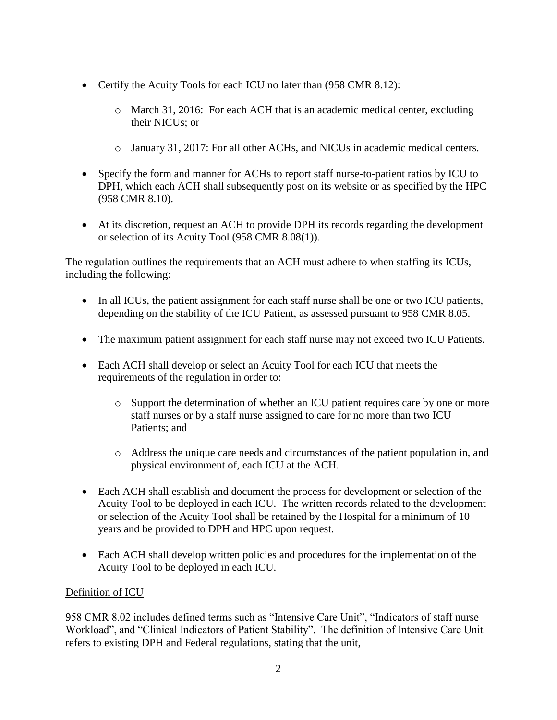- Certify the Acuity Tools for each ICU no later than (958 CMR 8.12):
	- o March 31, 2016: For each ACH that is an academic medical center, excluding their NICUs; or
	- o January 31, 2017: For all other ACHs, and NICUs in academic medical centers.
- Specify the form and manner for ACHs to report staff nurse-to-patient ratios by ICU to DPH, which each ACH shall subsequently post on its website or as specified by the HPC (958 CMR 8.10).
- At its discretion, request an ACH to provide DPH its records regarding the development or selection of its Acuity Tool (958 CMR 8.08(1)).

The regulation outlines the requirements that an ACH must adhere to when staffing its ICUs, including the following:

- In all ICUs, the patient assignment for each staff nurse shall be one or two ICU patients, depending on the stability of the ICU Patient, as assessed pursuant to 958 CMR 8.05.
- The maximum patient assignment for each staff nurse may not exceed two ICU Patients.
- Each ACH shall develop or select an Acuity Tool for each ICU that meets the requirements of the regulation in order to:
	- o Support the determination of whether an ICU patient requires care by one or more staff nurses or by a staff nurse assigned to care for no more than two ICU Patients; and
	- o Address the unique care needs and circumstances of the patient population in, and physical environment of, each ICU at the ACH.
- Each ACH shall establish and document the process for development or selection of the Acuity Tool to be deployed in each ICU. The written records related to the development or selection of the Acuity Tool shall be retained by the Hospital for a minimum of 10 years and be provided to DPH and HPC upon request.
- Each ACH shall develop written policies and procedures for the implementation of the Acuity Tool to be deployed in each ICU.

## Definition of ICU

958 CMR 8.02 includes defined terms such as "Intensive Care Unit", "Indicators of staff nurse Workload", and "Clinical Indicators of Patient Stability". The definition of Intensive Care Unit refers to existing DPH and Federal regulations, stating that the unit,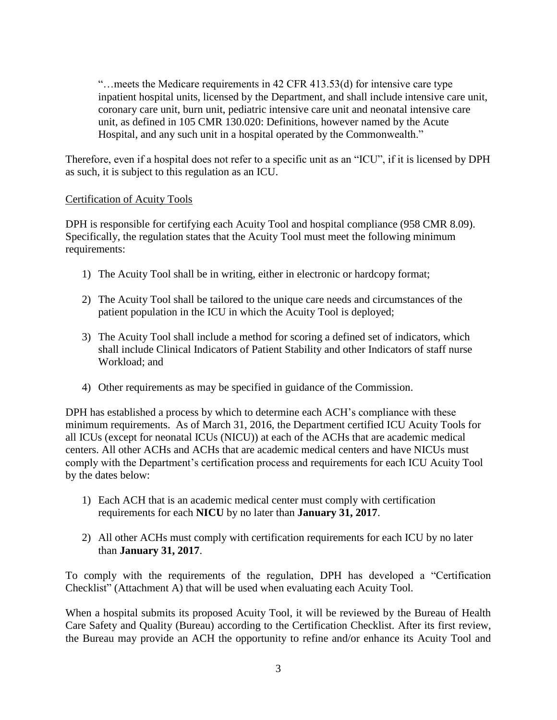"…meets the Medicare requirements in 42 CFR 413.53(d) for intensive care type inpatient hospital units, licensed by the Department, and shall include intensive care unit, coronary care unit, burn unit, pediatric intensive care unit and neonatal intensive care unit, as defined in 105 CMR 130.020: Definitions, however named by the Acute Hospital, and any such unit in a hospital operated by the Commonwealth."

Therefore, even if a hospital does not refer to a specific unit as an "ICU", if it is licensed by DPH as such, it is subject to this regulation as an ICU.

### Certification of Acuity Tools

DPH is responsible for certifying each Acuity Tool and hospital compliance (958 CMR 8.09). Specifically, the regulation states that the Acuity Tool must meet the following minimum requirements:

- 1) The Acuity Tool shall be in writing, either in electronic or hardcopy format;
- 2) The Acuity Tool shall be tailored to the unique care needs and circumstances of the patient population in the ICU in which the Acuity Tool is deployed;
- 3) The Acuity Tool shall include a method for scoring a defined set of indicators, which shall include Clinical Indicators of Patient Stability and other Indicators of staff nurse Workload; and
- 4) Other requirements as may be specified in guidance of the Commission.

DPH has established a process by which to determine each ACH's compliance with these minimum requirements. As of March 31, 2016, the Department certified ICU Acuity Tools for all ICUs (except for neonatal ICUs (NICU)) at each of the ACHs that are academic medical centers. All other ACHs and ACHs that are academic medical centers and have NICUs must comply with the Department's certification process and requirements for each ICU Acuity Tool by the dates below:

- 1) Each ACH that is an academic medical center must comply with certification requirements for each **NICU** by no later than **January 31, 2017**.
- 2) All other ACHs must comply with certification requirements for each ICU by no later than **January 31, 2017**.

To comply with the requirements of the regulation, DPH has developed a "Certification Checklist" (Attachment A) that will be used when evaluating each Acuity Tool.

When a hospital submits its proposed Acuity Tool, it will be reviewed by the Bureau of Health Care Safety and Quality (Bureau) according to the Certification Checklist. After its first review, the Bureau may provide an ACH the opportunity to refine and/or enhance its Acuity Tool and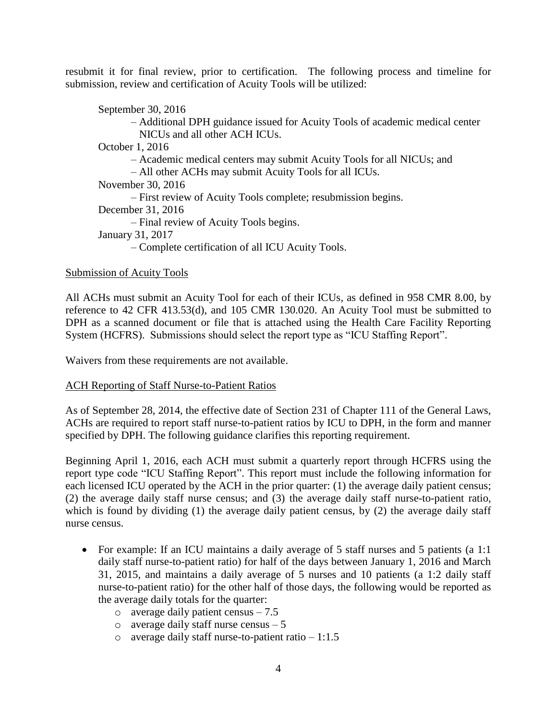resubmit it for final review, prior to certification. The following process and timeline for submission, review and certification of Acuity Tools will be utilized:

September 30, 2016 – Additional DPH guidance issued for Acuity Tools of academic medical center NICUs and all other ACH ICUs. October 1, 2016 – Academic medical centers may submit Acuity Tools for all NICUs; and – All other ACHs may submit Acuity Tools for all ICUs. November 30, 2016 – First review of Acuity Tools complete; resubmission begins. December 31, 2016 – Final review of Acuity Tools begins. January 31, 2017 – Complete certification of all ICU Acuity Tools.

## Submission of Acuity Tools

All ACHs must submit an Acuity Tool for each of their ICUs, as defined in 958 CMR 8.00, by reference to 42 CFR 413.53(d), and 105 CMR 130.020. An Acuity Tool must be submitted to DPH as a scanned document or file that is attached using the Health Care Facility Reporting System (HCFRS). Submissions should select the report type as "ICU Staffing Report".

Waivers from these requirements are not available.

### ACH Reporting of Staff Nurse-to-Patient Ratios

As of September 28, 2014, the effective date of Section 231 of Chapter 111 of the General Laws, ACHs are required to report staff nurse-to-patient ratios by ICU to DPH, in the form and manner specified by DPH. The following guidance clarifies this reporting requirement.

Beginning April 1, 2016, each ACH must submit a quarterly report through HCFRS using the report type code "ICU Staffing Report". This report must include the following information for each licensed ICU operated by the ACH in the prior quarter: (1) the average daily patient census; (2) the average daily staff nurse census; and (3) the average daily staff nurse-to-patient ratio, which is found by dividing (1) the average daily patient census, by (2) the average daily staff nurse census.

- For example: If an ICU maintains a daily average of 5 staff nurses and 5 patients (a 1:1) daily staff nurse-to-patient ratio) for half of the days between January 1, 2016 and March 31, 2015, and maintains a daily average of 5 nurses and 10 patients (a 1:2 daily staff nurse-to-patient ratio) for the other half of those days, the following would be reported as the average daily totals for the quarter:
	- $\circ$  average daily patient census 7.5
	- $\circ$  average daily staff nurse census  $-5$
	- o average daily staff nurse-to-patient ratio  $-1:1.5$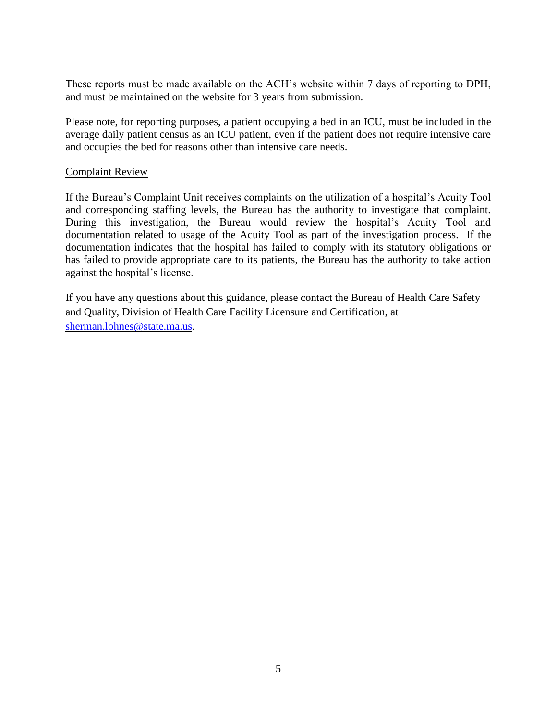These reports must be made available on the ACH's website within 7 days of reporting to DPH, and must be maintained on the website for 3 years from submission.

Please note, for reporting purposes, a patient occupying a bed in an ICU, must be included in the average daily patient census as an ICU patient, even if the patient does not require intensive care and occupies the bed for reasons other than intensive care needs.

### Complaint Review

If the Bureau's Complaint Unit receives complaints on the utilization of a hospital's Acuity Tool and corresponding staffing levels, the Bureau has the authority to investigate that complaint. During this investigation, the Bureau would review the hospital's Acuity Tool and documentation related to usage of the Acuity Tool as part of the investigation process. If the documentation indicates that the hospital has failed to comply with its statutory obligations or has failed to provide appropriate care to its patients, the Bureau has the authority to take action against the hospital's license.

If you have any questions about this guidance, please contact the Bureau of Health Care Safety and Quality, Division of Health Care Facility Licensure and Certification, at [sherman.lohnes@state.ma.us.](mailto:sherman.lohnes@state.ma.us)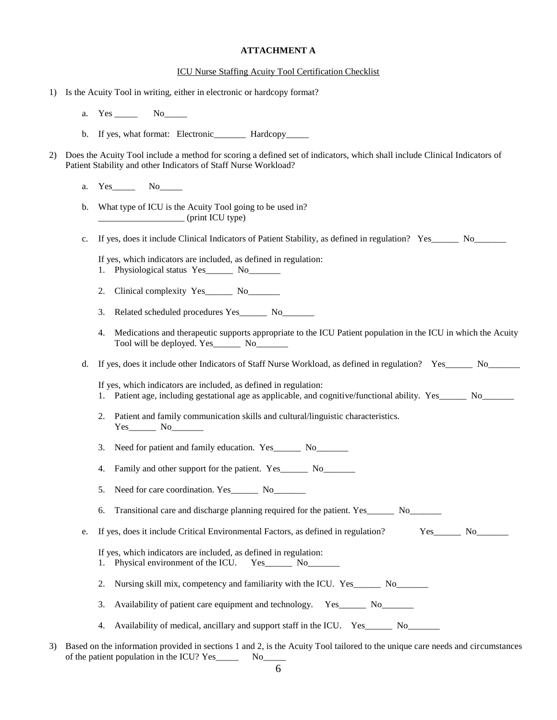### **ATTACHMENT A**

#### ICU Nurse Staffing Acuity Tool Certification Checklist

- 1) Is the Acuity Tool in writing, either in electronic or hardcopy format?
	- a. Yes No
	- b. If yes, what format: Electronic\_\_\_\_\_\_\_\_ Hardcopy\_\_\_\_
- 2) Does the Acuity Tool include a method for scoring a defined set of indicators, which shall include Clinical Indicators of Patient Stability and other Indicators of Staff Nurse Workload?
	- a. Yes No
	- b. What type of ICU is the Acuity Tool going to be used in? \_\_\_\_\_\_\_\_\_\_\_\_\_\_\_\_\_\_\_ (print ICU type)
	- c. If yes, does it include Clinical Indicators of Patient Stability, as defined in regulation? Yes\_\_\_\_\_\_\_ No\_\_\_\_\_

If yes, which indicators are included, as defined in regulation:

- 1. Physiological status Yes\_\_\_\_\_\_\_ No\_\_\_\_\_\_\_\_
- 2. Clinical complexity Yes\_\_\_\_\_\_ No\_\_\_\_\_\_\_
- 3. Related scheduled procedures Yes No
- 4. Medications and therapeutic supports appropriate to the ICU Patient population in the ICU in which the Acuity Tool will be deployed. Yes\_\_\_\_\_\_ No\_\_\_\_\_\_\_
- d. If yes, does it include other Indicators of Staff Nurse Workload, as defined in regulation? Yes\_\_\_\_\_\_\_ No\_\_\_\_\_

If yes, which indicators are included, as defined in regulation:

- 1. Patient age, including gestational age as applicable, and cognitive/functional ability. Yes\_\_\_\_\_\_ No\_\_\_\_\_\_\_
- 2. Patient and family communication skills and cultural/linguistic characteristics. Yes No
- 3. Need for patient and family education. Yes\_\_\_\_\_\_\_ No\_\_\_\_\_\_\_\_
- 4. Family and other support for the patient. Yes\_\_\_\_\_\_\_ No\_\_\_\_\_\_\_\_\_
- 5. Need for care coordination. Yes\_\_\_\_\_\_\_\_\_ No
- 6. Transitional care and discharge planning required for the patient. Yes\_\_\_\_\_\_ No\_\_\_\_\_\_\_
- e. If yes, does it include Critical Environmental Factors, as defined in regulation? Yes No

If yes, which indicators are included, as defined in regulation:

- 1. Physical environment of the ICU. Yes\_\_\_\_\_\_ No\_\_\_\_\_\_\_
- 2. Nursing skill mix, competency and familiarity with the ICU. Yes\_\_\_\_\_\_ No\_\_\_\_\_\_
- 3. Availability of patient care equipment and technology. Yes\_\_\_\_\_\_ No\_\_\_\_\_\_\_\_
- 4. Availability of medical, ancillary and support staff in the ICU. Yes\_\_\_\_\_\_ No\_\_\_\_\_\_\_
- 3) Based on the information provided in sections 1 and 2, is the Acuity Tool tailored to the unique care needs and circumstances of the patient population in the ICU? Yes\_\_\_\_\_ No\_\_\_\_\_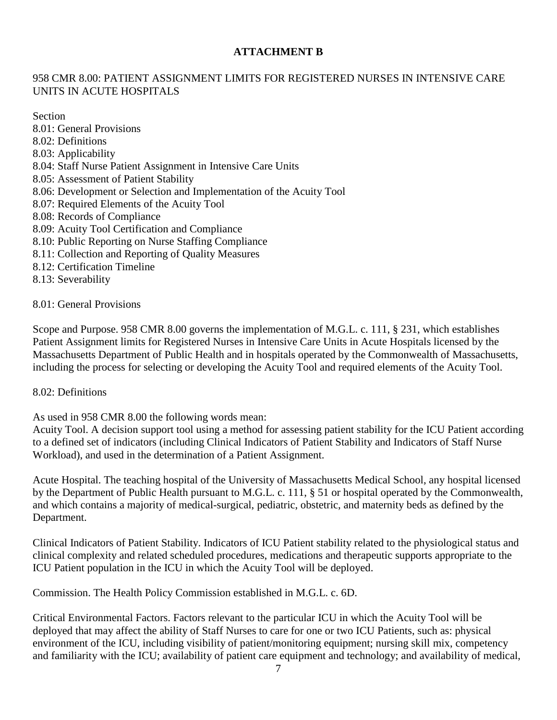## **ATTACHMENT B**

# 958 CMR 8.00: PATIENT ASSIGNMENT LIMITS FOR REGISTERED NURSES IN INTENSIVE CARE UNITS IN ACUTE HOSPITALS

Section

- 8.01: General Provisions 8.02: Definitions 8.03: Applicability 8.04: Staff Nurse Patient Assignment in Intensive Care Units 8.05: Assessment of Patient Stability
- 8.06: Development or Selection and Implementation of the Acuity Tool
- 8.07: Required Elements of the Acuity Tool
- 8.08: Records of Compliance
- 8.09: Acuity Tool Certification and Compliance
- 8.10: Public Reporting on Nurse Staffing Compliance
- 8.11: Collection and Reporting of Quality Measures
- 8.12: Certification Timeline
- 8.13: Severability

8.01: General Provisions

Scope and Purpose. 958 CMR 8.00 governs the implementation of M.G.L. c. 111, § 231, which establishes Patient Assignment limits for Registered Nurses in Intensive Care Units in Acute Hospitals licensed by the Massachusetts Department of Public Health and in hospitals operated by the Commonwealth of Massachusetts, including the process for selecting or developing the Acuity Tool and required elements of the Acuity Tool.

## 8.02: Definitions

As used in 958 CMR 8.00 the following words mean:

Acuity Tool. A decision support tool using a method for assessing patient stability for the ICU Patient according to a defined set of indicators (including Clinical Indicators of Patient Stability and Indicators of Staff Nurse Workload), and used in the determination of a Patient Assignment.

Acute Hospital. The teaching hospital of the University of Massachusetts Medical School, any hospital licensed by the Department of Public Health pursuant to M.G.L. c. 111, § 51 or hospital operated by the Commonwealth, and which contains a majority of medical-surgical, pediatric, obstetric, and maternity beds as defined by the Department.

Clinical Indicators of Patient Stability. Indicators of ICU Patient stability related to the physiological status and clinical complexity and related scheduled procedures, medications and therapeutic supports appropriate to the ICU Patient population in the ICU in which the Acuity Tool will be deployed.

Commission. The Health Policy Commission established in M.G.L. c. 6D.

Critical Environmental Factors. Factors relevant to the particular ICU in which the Acuity Tool will be deployed that may affect the ability of Staff Nurses to care for one or two ICU Patients, such as: physical environment of the ICU, including visibility of patient/monitoring equipment; nursing skill mix, competency and familiarity with the ICU; availability of patient care equipment and technology; and availability of medical,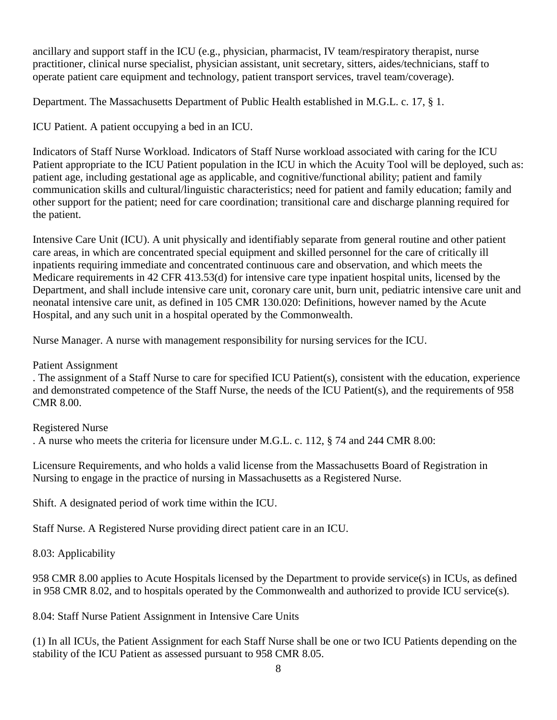ancillary and support staff in the ICU (e.g., physician, pharmacist, IV team/respiratory therapist, nurse practitioner, clinical nurse specialist, physician assistant, unit secretary, sitters, aides/technicians, staff to operate patient care equipment and technology, patient transport services, travel team/coverage).

Department. The Massachusetts Department of Public Health established in M.G.L. c. 17, § 1.

ICU Patient. A patient occupying a bed in an ICU.

Indicators of Staff Nurse Workload. Indicators of Staff Nurse workload associated with caring for the ICU Patient appropriate to the ICU Patient population in the ICU in which the Acuity Tool will be deployed, such as: patient age, including gestational age as applicable, and cognitive/functional ability; patient and family communication skills and cultural/linguistic characteristics; need for patient and family education; family and other support for the patient; need for care coordination; transitional care and discharge planning required for the patient.

Intensive Care Unit (ICU). A unit physically and identifiably separate from general routine and other patient care areas, in which are concentrated special equipment and skilled personnel for the care of critically ill inpatients requiring immediate and concentrated continuous care and observation, and which meets the Medicare requirements in 42 CFR 413.53(d) for intensive care type inpatient hospital units, licensed by the Department, and shall include intensive care unit, coronary care unit, burn unit, pediatric intensive care unit and neonatal intensive care unit, as defined in 105 CMR 130.020: Definitions, however named by the Acute Hospital, and any such unit in a hospital operated by the Commonwealth.

Nurse Manager. A nurse with management responsibility for nursing services for the ICU.

Patient Assignment

. The assignment of a Staff Nurse to care for specified ICU Patient(s), consistent with the education, experience and demonstrated competence of the Staff Nurse, the needs of the ICU Patient(s), and the requirements of 958 CMR 8.00.

## Registered Nurse

. A nurse who meets the criteria for licensure under M.G.L. c. 112, § 74 and 244 CMR 8.00:

Licensure Requirements, and who holds a valid license from the Massachusetts Board of Registration in Nursing to engage in the practice of nursing in Massachusetts as a Registered Nurse.

Shift. A designated period of work time within the ICU.

Staff Nurse. A Registered Nurse providing direct patient care in an ICU.

8.03: Applicability

958 CMR 8.00 applies to Acute Hospitals licensed by the Department to provide service(s) in ICUs, as defined in 958 CMR 8.02, and to hospitals operated by the Commonwealth and authorized to provide ICU service(s).

8.04: Staff Nurse Patient Assignment in Intensive Care Units

(1) In all ICUs, the Patient Assignment for each Staff Nurse shall be one or two ICU Patients depending on the stability of the ICU Patient as assessed pursuant to 958 CMR 8.05.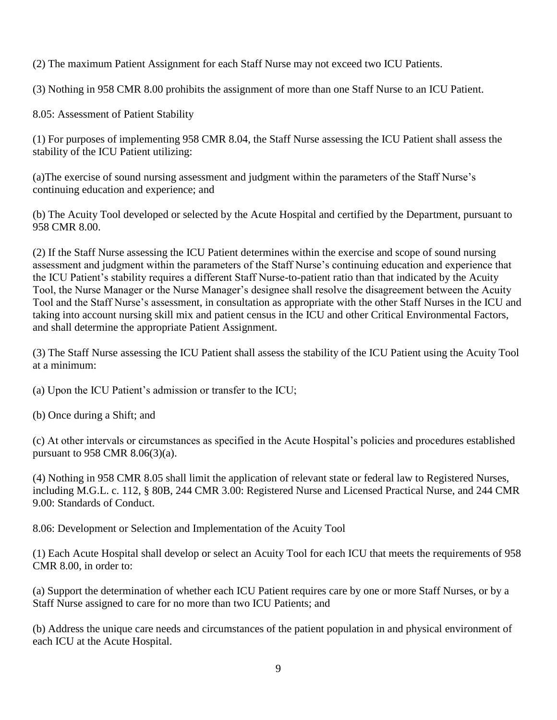(2) The maximum Patient Assignment for each Staff Nurse may not exceed two ICU Patients.

(3) Nothing in 958 CMR 8.00 prohibits the assignment of more than one Staff Nurse to an ICU Patient.

8.05: Assessment of Patient Stability

(1) For purposes of implementing 958 CMR 8.04, the Staff Nurse assessing the ICU Patient shall assess the stability of the ICU Patient utilizing:

(a)The exercise of sound nursing assessment and judgment within the parameters of the Staff Nurse's continuing education and experience; and

(b) The Acuity Tool developed or selected by the Acute Hospital and certified by the Department, pursuant to 958 CMR 8.00.

(2) If the Staff Nurse assessing the ICU Patient determines within the exercise and scope of sound nursing assessment and judgment within the parameters of the Staff Nurse's continuing education and experience that the ICU Patient's stability requires a different Staff Nurse-to-patient ratio than that indicated by the Acuity Tool, the Nurse Manager or the Nurse Manager's designee shall resolve the disagreement between the Acuity Tool and the Staff Nurse's assessment, in consultation as appropriate with the other Staff Nurses in the ICU and taking into account nursing skill mix and patient census in the ICU and other Critical Environmental Factors, and shall determine the appropriate Patient Assignment.

(3) The Staff Nurse assessing the ICU Patient shall assess the stability of the ICU Patient using the Acuity Tool at a minimum:

(a) Upon the ICU Patient's admission or transfer to the ICU;

(b) Once during a Shift; and

(c) At other intervals or circumstances as specified in the Acute Hospital's policies and procedures established pursuant to 958 CMR 8.06(3)(a).

(4) Nothing in 958 CMR 8.05 shall limit the application of relevant state or federal law to Registered Nurses, including M.G.L. c. 112, § 80B, 244 CMR 3.00: Registered Nurse and Licensed Practical Nurse, and 244 CMR 9.00: Standards of Conduct.

8.06: Development or Selection and Implementation of the Acuity Tool

(1) Each Acute Hospital shall develop or select an Acuity Tool for each ICU that meets the requirements of 958 CMR 8.00, in order to:

(a) Support the determination of whether each ICU Patient requires care by one or more Staff Nurses, or by a Staff Nurse assigned to care for no more than two ICU Patients; and

(b) Address the unique care needs and circumstances of the patient population in and physical environment of each ICU at the Acute Hospital.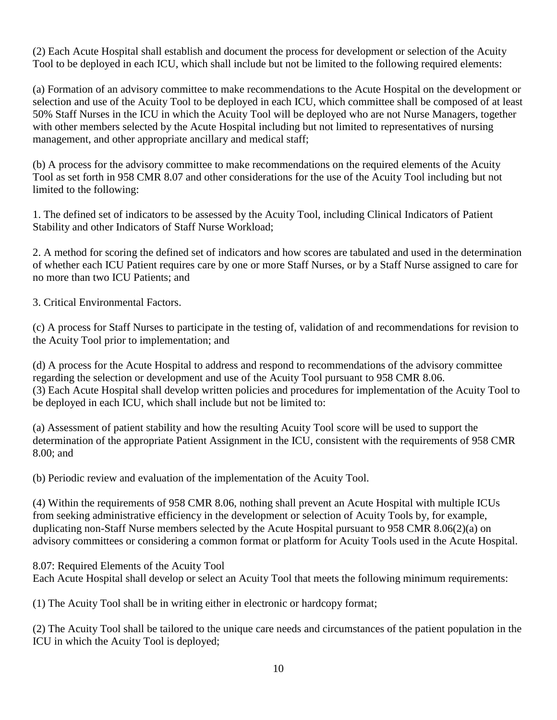(2) Each Acute Hospital shall establish and document the process for development or selection of the Acuity Tool to be deployed in each ICU, which shall include but not be limited to the following required elements:

(a) Formation of an advisory committee to make recommendations to the Acute Hospital on the development or selection and use of the Acuity Tool to be deployed in each ICU, which committee shall be composed of at least 50% Staff Nurses in the ICU in which the Acuity Tool will be deployed who are not Nurse Managers, together with other members selected by the Acute Hospital including but not limited to representatives of nursing management, and other appropriate ancillary and medical staff;

(b) A process for the advisory committee to make recommendations on the required elements of the Acuity Tool as set forth in 958 CMR 8.07 and other considerations for the use of the Acuity Tool including but not limited to the following:

1. The defined set of indicators to be assessed by the Acuity Tool, including Clinical Indicators of Patient Stability and other Indicators of Staff Nurse Workload;

2. A method for scoring the defined set of indicators and how scores are tabulated and used in the determination of whether each ICU Patient requires care by one or more Staff Nurses, or by a Staff Nurse assigned to care for no more than two ICU Patients; and

3. Critical Environmental Factors.

(c) A process for Staff Nurses to participate in the testing of, validation of and recommendations for revision to the Acuity Tool prior to implementation; and

(d) A process for the Acute Hospital to address and respond to recommendations of the advisory committee regarding the selection or development and use of the Acuity Tool pursuant to 958 CMR 8.06. (3) Each Acute Hospital shall develop written policies and procedures for implementation of the Acuity Tool to be deployed in each ICU, which shall include but not be limited to:

(a) Assessment of patient stability and how the resulting Acuity Tool score will be used to support the determination of the appropriate Patient Assignment in the ICU, consistent with the requirements of 958 CMR 8.00; and

(b) Periodic review and evaluation of the implementation of the Acuity Tool.

(4) Within the requirements of 958 CMR 8.06, nothing shall prevent an Acute Hospital with multiple ICUs from seeking administrative efficiency in the development or selection of Acuity Tools by, for example, duplicating non-Staff Nurse members selected by the Acute Hospital pursuant to 958 CMR 8.06(2)(a) on advisory committees or considering a common format or platform for Acuity Tools used in the Acute Hospital.

8.07: Required Elements of the Acuity Tool Each Acute Hospital shall develop or select an Acuity Tool that meets the following minimum requirements:

(1) The Acuity Tool shall be in writing either in electronic or hardcopy format;

(2) The Acuity Tool shall be tailored to the unique care needs and circumstances of the patient population in the ICU in which the Acuity Tool is deployed;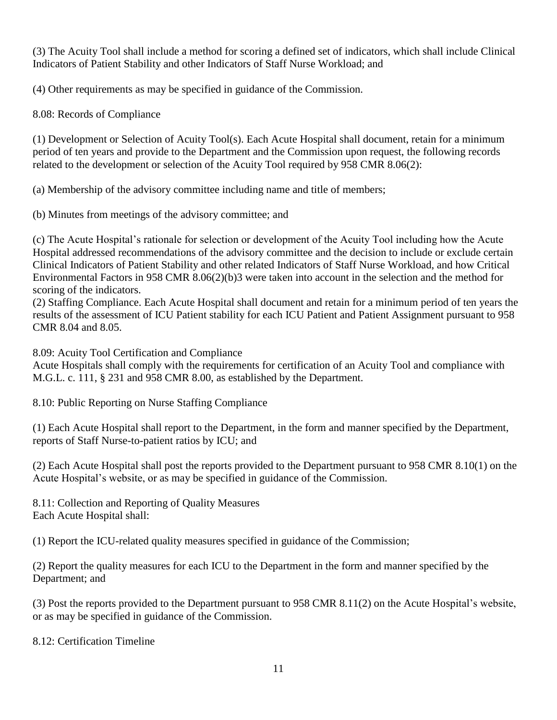(3) The Acuity Tool shall include a method for scoring a defined set of indicators, which shall include Clinical Indicators of Patient Stability and other Indicators of Staff Nurse Workload; and

(4) Other requirements as may be specified in guidance of the Commission.

8.08: Records of Compliance

(1) Development or Selection of Acuity Tool(s). Each Acute Hospital shall document, retain for a minimum period of ten years and provide to the Department and the Commission upon request, the following records related to the development or selection of the Acuity Tool required by 958 CMR 8.06(2):

(a) Membership of the advisory committee including name and title of members;

(b) Minutes from meetings of the advisory committee; and

(c) The Acute Hospital's rationale for selection or development of the Acuity Tool including how the Acute Hospital addressed recommendations of the advisory committee and the decision to include or exclude certain Clinical Indicators of Patient Stability and other related Indicators of Staff Nurse Workload, and how Critical Environmental Factors in 958 CMR 8.06(2)(b)3 were taken into account in the selection and the method for scoring of the indicators.

(2) Staffing Compliance. Each Acute Hospital shall document and retain for a minimum period of ten years the results of the assessment of ICU Patient stability for each ICU Patient and Patient Assignment pursuant to 958 CMR 8.04 and 8.05.

8.09: Acuity Tool Certification and Compliance

Acute Hospitals shall comply with the requirements for certification of an Acuity Tool and compliance with M.G.L. c. 111, § 231 and 958 CMR 8.00, as established by the Department.

8.10: Public Reporting on Nurse Staffing Compliance

(1) Each Acute Hospital shall report to the Department, in the form and manner specified by the Department, reports of Staff Nurse-to-patient ratios by ICU; and

(2) Each Acute Hospital shall post the reports provided to the Department pursuant to 958 CMR 8.10(1) on the Acute Hospital's website, or as may be specified in guidance of the Commission.

8.11: Collection and Reporting of Quality Measures Each Acute Hospital shall:

(1) Report the ICU-related quality measures specified in guidance of the Commission;

(2) Report the quality measures for each ICU to the Department in the form and manner specified by the Department; and

(3) Post the reports provided to the Department pursuant to 958 CMR 8.11(2) on the Acute Hospital's website, or as may be specified in guidance of the Commission.

8.12: Certification Timeline